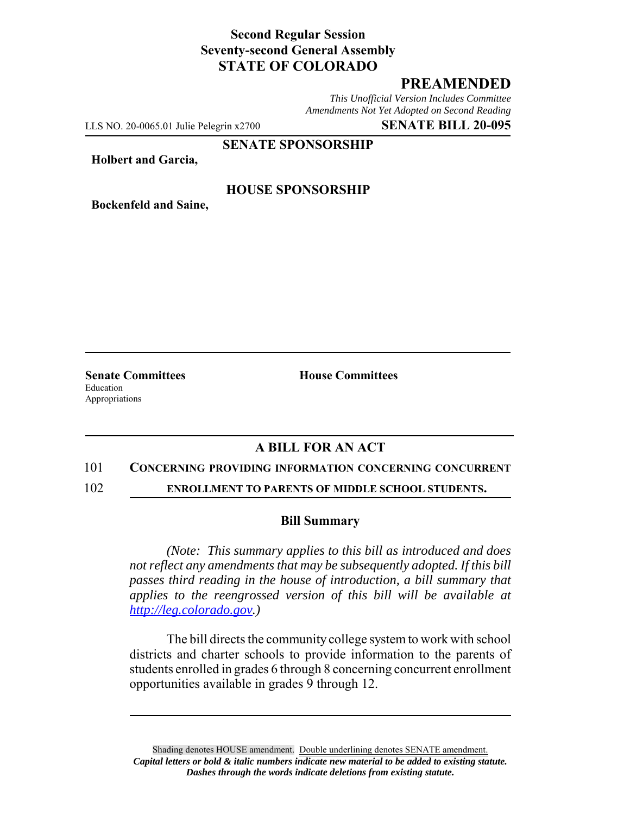# **Second Regular Session Seventy-second General Assembly STATE OF COLORADO**

# **PREAMENDED**

*This Unofficial Version Includes Committee Amendments Not Yet Adopted on Second Reading*

LLS NO. 20-0065.01 Julie Pelegrin x2700 **SENATE BILL 20-095**

### **SENATE SPONSORSHIP**

**Holbert and Garcia,**

### **HOUSE SPONSORSHIP**

**Bockenfeld and Saine,**

Education Appropriations

**Senate Committees House Committees** 

## **A BILL FOR AN ACT**

#### 101 **CONCERNING PROVIDING INFORMATION CONCERNING CONCURRENT**

102 **ENROLLMENT TO PARENTS OF MIDDLE SCHOOL STUDENTS.**

#### **Bill Summary**

*(Note: This summary applies to this bill as introduced and does not reflect any amendments that may be subsequently adopted. If this bill passes third reading in the house of introduction, a bill summary that applies to the reengrossed version of this bill will be available at http://leg.colorado.gov.)*

The bill directs the community college system to work with school districts and charter schools to provide information to the parents of students enrolled in grades 6 through 8 concerning concurrent enrollment opportunities available in grades 9 through 12.

Shading denotes HOUSE amendment. Double underlining denotes SENATE amendment. *Capital letters or bold & italic numbers indicate new material to be added to existing statute. Dashes through the words indicate deletions from existing statute.*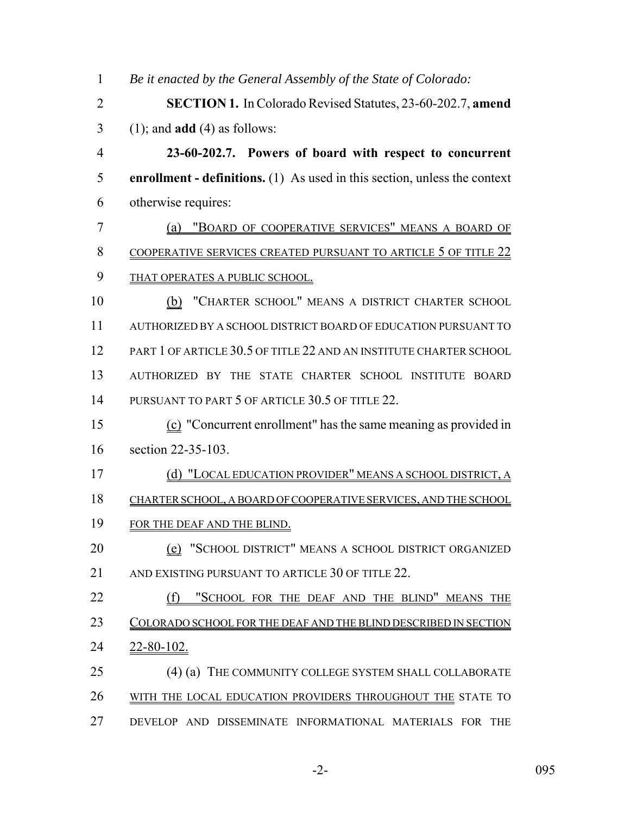*Be it enacted by the General Assembly of the State of Colorado:* **SECTION 1.** In Colorado Revised Statutes, 23-60-202.7, **amend** (1); and **add** (4) as follows: **23-60-202.7. Powers of board with respect to concurrent enrollment - definitions.** (1) As used in this section, unless the context otherwise requires: (a) "BOARD OF COOPERATIVE SERVICES" MEANS A BOARD OF 8 COOPERATIVE SERVICES CREATED PURSUANT TO ARTICLE 5 OF TITLE 22 9 THAT OPERATES A PUBLIC SCHOOL. 10 (b) "CHARTER SCHOOL" MEANS A DISTRICT CHARTER SCHOOL AUTHORIZED BY A SCHOOL DISTRICT BOARD OF EDUCATION PURSUANT TO PART 1 OF ARTICLE 30.5 OF TITLE 22 AND AN INSTITUTE CHARTER SCHOOL AUTHORIZED BY THE STATE CHARTER SCHOOL INSTITUTE BOARD 14 PURSUANT TO PART 5 OF ARTICLE 30.5 OF TITLE 22. (c) "Concurrent enrollment" has the same meaning as provided in section 22-35-103. (d) "LOCAL EDUCATION PROVIDER" MEANS A SCHOOL DISTRICT, A CHARTER SCHOOL, A BOARD OF COOPERATIVE SERVICES, AND THE SCHOOL 19 FOR THE DEAF AND THE BLIND. **(e)** "SCHOOL DISTRICT" MEANS A SCHOOL DISTRICT ORGANIZED 21 AND EXISTING PURSUANT TO ARTICLE 30 OF TITLE 22. 22 (f) "SCHOOL FOR THE DEAF AND THE BLIND" MEANS THE 23 COLORADO SCHOOL FOR THE DEAF AND THE BLIND DESCRIBED IN SECTION 22-80-102. 25 (4) (a) THE COMMUNITY COLLEGE SYSTEM SHALL COLLABORATE WITH THE LOCAL EDUCATION PROVIDERS THROUGHOUT THE STATE TO DEVELOP AND DISSEMINATE INFORMATIONAL MATERIALS FOR THE

-2- 095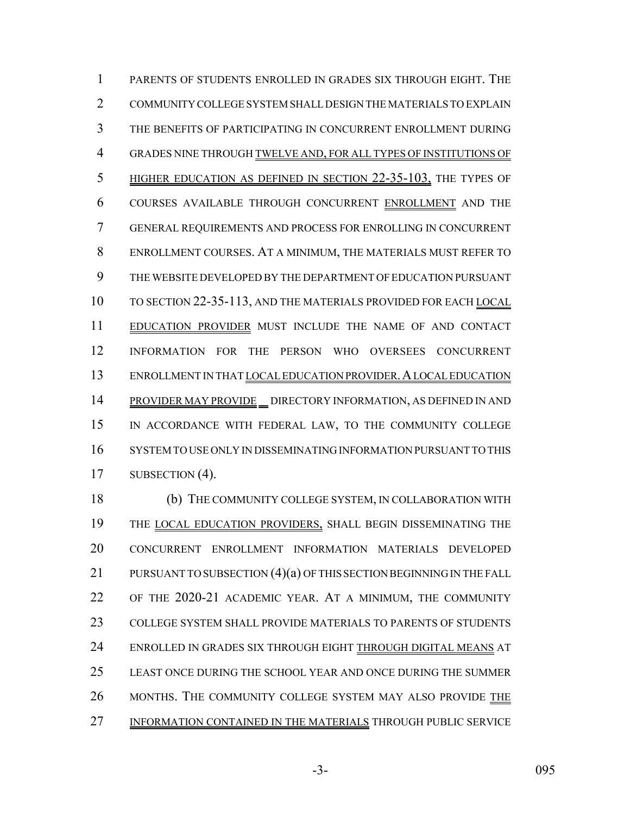PARENTS OF STUDENTS ENROLLED IN GRADES SIX THROUGH EIGHT. THE COMMUNITY COLLEGE SYSTEM SHALL DESIGN THE MATERIALS TO EXPLAIN THE BENEFITS OF PARTICIPATING IN CONCURRENT ENROLLMENT DURING GRADES NINE THROUGH TWELVE AND, FOR ALL TYPES OF INSTITUTIONS OF HIGHER EDUCATION AS DEFINED IN SECTION 22-35-103, THE TYPES OF COURSES AVAILABLE THROUGH CONCURRENT ENROLLMENT AND THE GENERAL REQUIREMENTS AND PROCESS FOR ENROLLING IN CONCURRENT ENROLLMENT COURSES. AT A MINIMUM, THE MATERIALS MUST REFER TO THE WEBSITE DEVELOPED BY THE DEPARTMENT OF EDUCATION PURSUANT TO SECTION 22-35-113, AND THE MATERIALS PROVIDED FOR EACH LOCAL EDUCATION PROVIDER MUST INCLUDE THE NAME OF AND CONTACT INFORMATION FOR THE PERSON WHO OVERSEES CONCURRENT ENROLLMENT IN THAT LOCAL EDUCATION PROVIDER.A LOCAL EDUCATION 14 PROVIDER MAY PROVIDE DIRECTORY INFORMATION, AS DEFINED IN AND IN ACCORDANCE WITH FEDERAL LAW, TO THE COMMUNITY COLLEGE SYSTEM TO USE ONLY IN DISSEMINATING INFORMATION PURSUANT TO THIS 17 SUBSECTION (4).

 (b) THE COMMUNITY COLLEGE SYSTEM, IN COLLABORATION WITH THE LOCAL EDUCATION PROVIDERS, SHALL BEGIN DISSEMINATING THE CONCURRENT ENROLLMENT INFORMATION MATERIALS DEVELOPED 21 PURSUANT TO SUBSECTION (4)(a) OF THIS SECTION BEGINNING IN THE FALL OF THE 2020-21 ACADEMIC YEAR. AT A MINIMUM, THE COMMUNITY COLLEGE SYSTEM SHALL PROVIDE MATERIALS TO PARENTS OF STUDENTS ENROLLED IN GRADES SIX THROUGH EIGHT THROUGH DIGITAL MEANS AT LEAST ONCE DURING THE SCHOOL YEAR AND ONCE DURING THE SUMMER MONTHS. THE COMMUNITY COLLEGE SYSTEM MAY ALSO PROVIDE THE INFORMATION CONTAINED IN THE MATERIALS THROUGH PUBLIC SERVICE